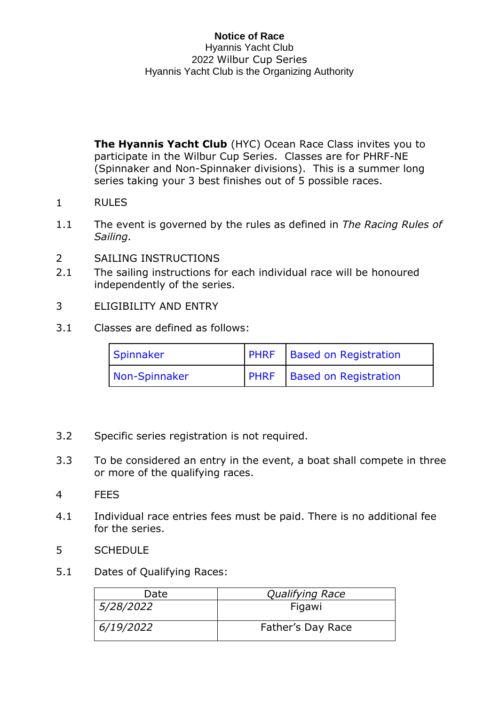**The Hyannis Yacht Club** (HYC) Ocean Race Class invites you to participate in the Wilbur Cup Series. Classes are for PHRF-NE (Spinnaker and Non-Spinnaker divisions). This is a summer long series taking your 3 best finishes out of 5 possible races.

- 1 RULES
- 1.1 The event is governed by the rules as defined in *The Racing Rules of Sailing.*
- 2 SAILING INSTRUCTIONS
- 2.1 The sailing instructions for each individual race will be honoured independently of the series.
- 3 ELIGIBILITY AND ENTRY
- 3.1 Classes are defined as follows:

| Spinnaker     | <b>PHRF</b> Based on Registration |
|---------------|-----------------------------------|
| Non-Spinnaker | <b>PHRF</b> Based on Registration |

- 3.2 Specific series registration is not required.
- 3.3 To be considered an entry in the event, a boat shall compete in three or more of the qualifying races.
- 4 FEES
- 4.1 Individual race entries fees must be paid. There is no additional fee for the series.
- 5 SCHEDULE
- 5.1 Dates of Qualifying Races:

| Date      | <b>Qualifying Race</b> |
|-----------|------------------------|
| 5/28/2022 | Figawi                 |
| 6/19/2022 | Father's Day Race      |